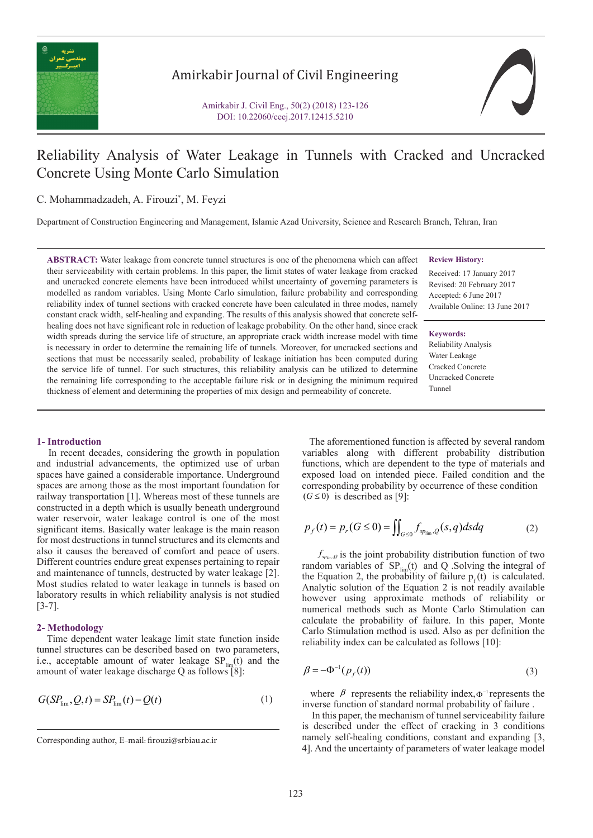

# Amirkabir Journal of Civil Engineering



# Reliability Analysis of Water Leakage in Tunnels with Cracked and Uncracked Concrete Using Monte Carlo Simulation

# C. Mohammadzadeh, A. Firouzi\* , M. Feyzi

Department of Construction Engineering and Management, Islamic Azad University, Science and Research Branch, Tehran, Iran

**ABSTRACT:** Water leakage from concrete tunnel structures is one of the phenomena which can affect their serviceability with certain problems. In this paper, the limit states of water leakage from cracked and uncracked concrete elements have been introduced whilst uncertainty of governing parameters is modelled as random variables. Using Monte Carlo simulation, failure probability and corresponding reliability index of tunnel sections with cracked concrete have been calculated in three modes, namely constant crack width, self-healing and expanding. The results of this analysis showed that concrete selfhealing does not have significant role in reduction of leakage probability. On the other hand, since crack width spreads during the service life of structure, an appropriate crack width increase model with time is necessary in order to determine the remaining life of tunnels. Moreover, for uncracked sections and sections that must be necessarily sealed, probability of leakage initiation has been computed during the service life of tunnel. For such structures, this reliability analysis can be utilized to determine the remaining life corresponding to the acceptable failure risk or in designing the minimum required thickness of element and determining the properties of mix design and permeability of concrete.

### **Review History:**

Received: 17 January 2017 Revised: 20 February 2017 Accepted: 6 June 2017 Available Online: 13 June 2017

#### **Keywords:**

Reliability Analysis Water Leakage Cracked Concrete Uncracked Concrete Tunnel

#### **1- Introduction**

 In recent decades, considering the growth in population and industrial advancements, the optimized use of urban spaces have gained a considerable importance. Underground spaces are among those as the most important foundation for railway transportation [1]. Whereas most of these tunnels are constructed in a depth which is usually beneath underground water reservoir, water leakage control is one of the most significant items. Basically water leakage is the main reason for most destructions in tunnel structures and its elements and also it causes the bereaved of comfort and peace of users. Different countries endure great expenses pertaining to repair and maintenance of tunnels, destructed by water leakage [2]. Most studies related to water leakage in tunnels is based on laboratory results in which reliability analysis is not studied [3-7].

# **2- Methodology**

 Time dependent water leakage limit state function inside tunnel structures can be described based on two parameters, i.e., acceptable amount of water leakage  $SP_{\text{lim}}(t)$  and the amount of water leakage discharge Q as follows [8]:

$$
G(SP_{\lim}, Q, t) = SP_{\lim}(t) - Q(t)
$$
 (1)

 The aforementioned function is affected by several random variables along with different probability distribution functions, which are dependent to the type of materials and exposed load on intended piece. Failed condition and the corresponding probability by occurrence of these condition  $(G \leq 0)$  is described as [9]:

$$
p_f(t) = p_r(G \le 0) = \iint_{G \le 0} f_{sp_{\text{lim}},Q}(s,q) ds dq \tag{2}
$$

 $f_{\text{sp}_{\text{lim}},Q}$  is the joint probability distribution function of two random variables of  $SP_{\text{lim}}(t)$  and Q . Solving the integral of the Equation 2, the probability of failure  $p<sub>s</sub>(t)$  is calculated. Analytic solution of the Equation 2 is not readily available however using approximate methods of reliability or numerical methods such as Monte Carlo Stimulation can calculate the probability of failure. In this paper, Monte Carlo Stimulation method is used. Also as per definition the reliability index can be calculated as follows [10]:

$$
\beta = -\Phi^{-1}(p_f(t))\tag{3}
$$

where  $\beta$  represents the reliability index,  $\Phi^{-1}$  represents the inverse function of standard normal probability of failure .

 In this paper, the mechanism of tunnel serviceability failure is described under the effect of cracking in 3 conditions namely self-healing conditions, constant and expanding [3, 4]. And the uncertainty of parameters of water leakage model

Corresponding author, E-mail: firouzi@srbiau.ac.ir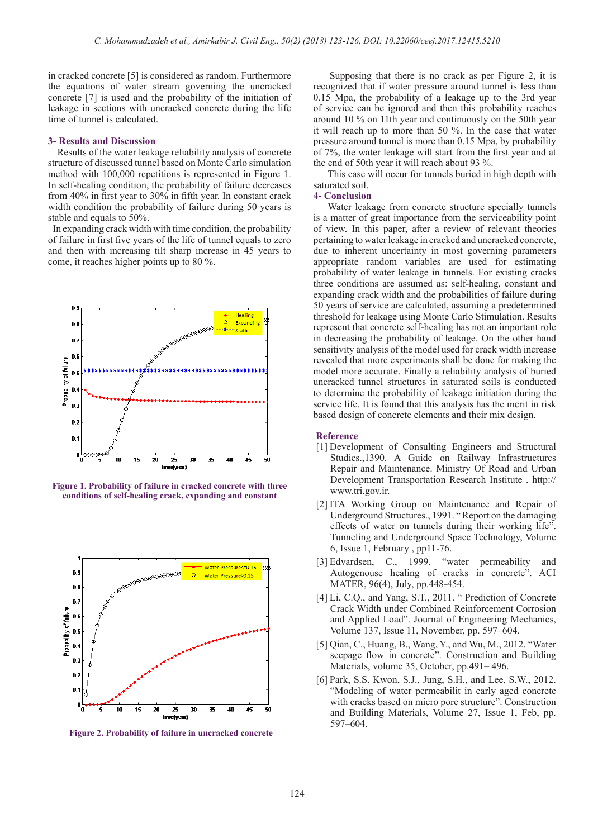in cracked concrete [5] is considered as random. Furthermore the equations of water stream governing the uncracked concrete [7] is used and the probability of the initiation of leakage in sections with uncracked concrete during the life time of tunnel is calculated.

#### **3- Results and Discussion**

 Results of the water leakage reliability analysis of concrete structure of discussed tunnel based on Monte Carlo simulation method with 100,000 repetitions is represented in Figure 1. In self-healing condition, the probability of failure decreases from 40% in first year to 30% in fifth year. In constant crack width condition the probability of failure during 50 years is stable and equals to 50%.

 In expanding crack width with time condition, the probability of failure in first five years of the life of tunnel equals to zero and then with increasing tilt sharp increase in 45 years to come, it reaches higher points up to 80 %.



**Figure 1. Probability of failure in cracked concrete with three conditions of self-healing crack, expanding and constant**



**Figure 2. Probability of failure in uncracked concrete**

Supposing that there is no crack as per Figure 2, it is recognized that if water pressure around tunnel is less than 0.15 Mpa, the probability of a leakage up to the 3rd year of service can be ignored and then this probability reaches around 10 % on 11th year and continuously on the 50th year it will reach up to more than 50 %. In the case that water pressure around tunnel is more than 0.15 Mpa, by probability of 7%, the water leakage will start from the first year and at the end of 50th year it will reach about 93 %.

 This case will occur for tunnels buried in high depth with saturated soil.

## **4- Conclusion**

 Water leakage from concrete structure specially tunnels is a matter of great importance from the serviceability point of view. In this paper, after a review of relevant theories pertaining to water leakage in cracked and uncracked concrete, due to inherent uncertainty in most governing parameters appropriate random variables are used for estimating probability of water leakage in tunnels. For existing cracks three conditions are assumed as: self-healing, constant and expanding crack width and the probabilities of failure during 50 years of service are calculated, assuming a predetermined threshold for leakage using Monte Carlo Stimulation. Results represent that concrete self-healing has not an important role in decreasing the probability of leakage. On the other hand sensitivity analysis of the model used for crack width increase revealed that more experiments shall be done for making the model more accurate. Finally a reliability analysis of buried uncracked tunnel structures in saturated soils is conducted to determine the probability of leakage initiation during the service life. It is found that this analysis has the merit in risk based design of concrete elements and their mix design.

#### **Reference**

- [1] Development of Consulting Engineers and Structural Studies.,1390. A Guide on Railway Infrastructures Repair and Maintenance. Ministry Of Road and Urban Development Transportation Research Institute . http:// www.tri.gov.ir.
- [2] ITA Working Group on Maintenance and Repair of Underground Structures., 1991. " Report on the damaging effects of water on tunnels during their working life". Tunneling and Underground Space Technology, Volume 6, Issue 1, February , pp11-76.
- [3] Edvardsen, C., 1999. "water permeability and Autogenouse healing of cracks in concrete". ACI MATER, 96(4), July, pp.448-454.
- [4] Li, C.Q., and Yang, S.T., 2011. " Prediction of Concrete Crack Width under Combined Reinforcement Corrosion and Applied Load". Journal of Engineering Mechanics, Volume 137, Issue 11, November, pp. 597–604.
- [5] Qian, C., Huang, B., Wang, Y., and Wu, M., 2012. "Water seepage flow in concrete". Construction and Building Materials, volume 35, October, pp.491– 496.
- [6] Park, S.S. Kwon, S.J., Jung, S.H., and Lee, S.W., 2012. "Modeling of water permeabilit in early aged concrete with cracks based on micro pore structure". Construction and Building Materials, Volume 27, Issue 1, Feb, pp. 597–604.